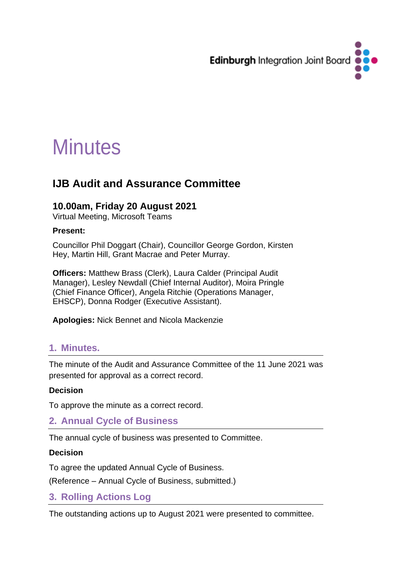

# **Minutes**

# **IJB Audit and Assurance Committee**

#### **10.00am, Friday 20 August 2021**

Virtual Meeting, Microsoft Teams

#### **Present:**

Councillor Phil Doggart (Chair), Councillor George Gordon, Kirsten Hey, Martin Hill, Grant Macrae and Peter Murray.

**Officers:** Matthew Brass (Clerk), Laura Calder (Principal Audit Manager), Lesley Newdall (Chief Internal Auditor), Moira Pringle (Chief Finance Officer), Angela Ritchie (Operations Manager, EHSCP), Donna Rodger (Executive Assistant).

**Apologies:** Nick Bennet and Nicola Mackenzie

## **1. Minutes.**

The minute of the Audit and Assurance Committee of the 11 June 2021 was presented for approval as a correct record.

#### **Decision**

To approve the minute as a correct record.

## **2. Annual Cycle of Business**

The annual cycle of business was presented to Committee.

#### **Decision**

To agree the updated Annual Cycle of Business.

(Reference – Annual Cycle of Business, submitted.)

#### **3. Rolling Actions Log**

The outstanding actions up to August 2021 were presented to committee.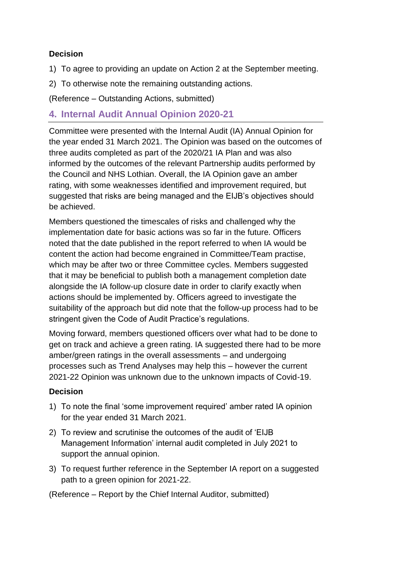#### **Decision**

- 1) To agree to providing an update on Action 2 at the September meeting.
- 2) To otherwise note the remaining outstanding actions.

(Reference – Outstanding Actions, submitted)

### **4. Internal Audit Annual Opinion 2020-21**

Committee were presented with the Internal Audit (IA) Annual Opinion for the year ended 31 March 2021. The Opinion was based on the outcomes of three audits completed as part of the 2020/21 IA Plan and was also informed by the outcomes of the relevant Partnership audits performed by the Council and NHS Lothian. Overall, the IA Opinion gave an amber rating, with some weaknesses identified and improvement required, but suggested that risks are being managed and the EIJB's objectives should be achieved.

Members questioned the timescales of risks and challenged why the implementation date for basic actions was so far in the future. Officers noted that the date published in the report referred to when IA would be content the action had become engrained in Committee/Team practise, which may be after two or three Committee cycles. Members suggested that it may be beneficial to publish both a management completion date alongside the IA follow-up closure date in order to clarify exactly when actions should be implemented by. Officers agreed to investigate the suitability of the approach but did note that the follow-up process had to be stringent given the Code of Audit Practice's regulations.

Moving forward, members questioned officers over what had to be done to get on track and achieve a green rating. IA suggested there had to be more amber/green ratings in the overall assessments – and undergoing processes such as Trend Analyses may help this – however the current 2021-22 Opinion was unknown due to the unknown impacts of Covid-19.

#### **Decision**

- 1) To note the final 'some improvement required' amber rated IA opinion for the year ended 31 March 2021.
- 2) To review and scrutinise the outcomes of the audit of 'EIJB Management Information' internal audit completed in July 2021 to support the annual opinion.
- 3) To request further reference in the September IA report on a suggested path to a green opinion for 2021-22.

(Reference – Report by the Chief Internal Auditor, submitted)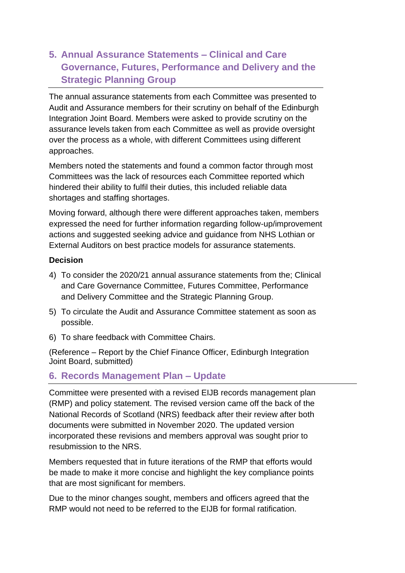# **5. Annual Assurance Statements – Clinical and Care Governance, Futures, Performance and Delivery and the Strategic Planning Group**

The annual assurance statements from each Committee was presented to Audit and Assurance members for their scrutiny on behalf of the Edinburgh Integration Joint Board. Members were asked to provide scrutiny on the assurance levels taken from each Committee as well as provide oversight over the process as a whole, with different Committees using different approaches.

Members noted the statements and found a common factor through most Committees was the lack of resources each Committee reported which hindered their ability to fulfil their duties, this included reliable data shortages and staffing shortages.

Moving forward, although there were different approaches taken, members expressed the need for further information regarding follow-up/improvement actions and suggested seeking advice and guidance from NHS Lothian or External Auditors on best practice models for assurance statements.

#### **Decision**

- 4) To consider the 2020/21 annual assurance statements from the; Clinical and Care Governance Committee, Futures Committee, Performance and Delivery Committee and the Strategic Planning Group.
- 5) To circulate the Audit and Assurance Committee statement as soon as possible.
- 6) To share feedback with Committee Chairs.

(Reference – Report by the Chief Finance Officer, Edinburgh Integration Joint Board, submitted)

#### **6. Records Management Plan – Update**

Committee were presented with a revised EIJB records management plan (RMP) and policy statement. The revised version came off the back of the National Records of Scotland (NRS) feedback after their review after both documents were submitted in November 2020. The updated version incorporated these revisions and members approval was sought prior to resubmission to the NRS.

Members requested that in future iterations of the RMP that efforts would be made to make it more concise and highlight the key compliance points that are most significant for members.

Due to the minor changes sought, members and officers agreed that the RMP would not need to be referred to the EIJB for formal ratification.